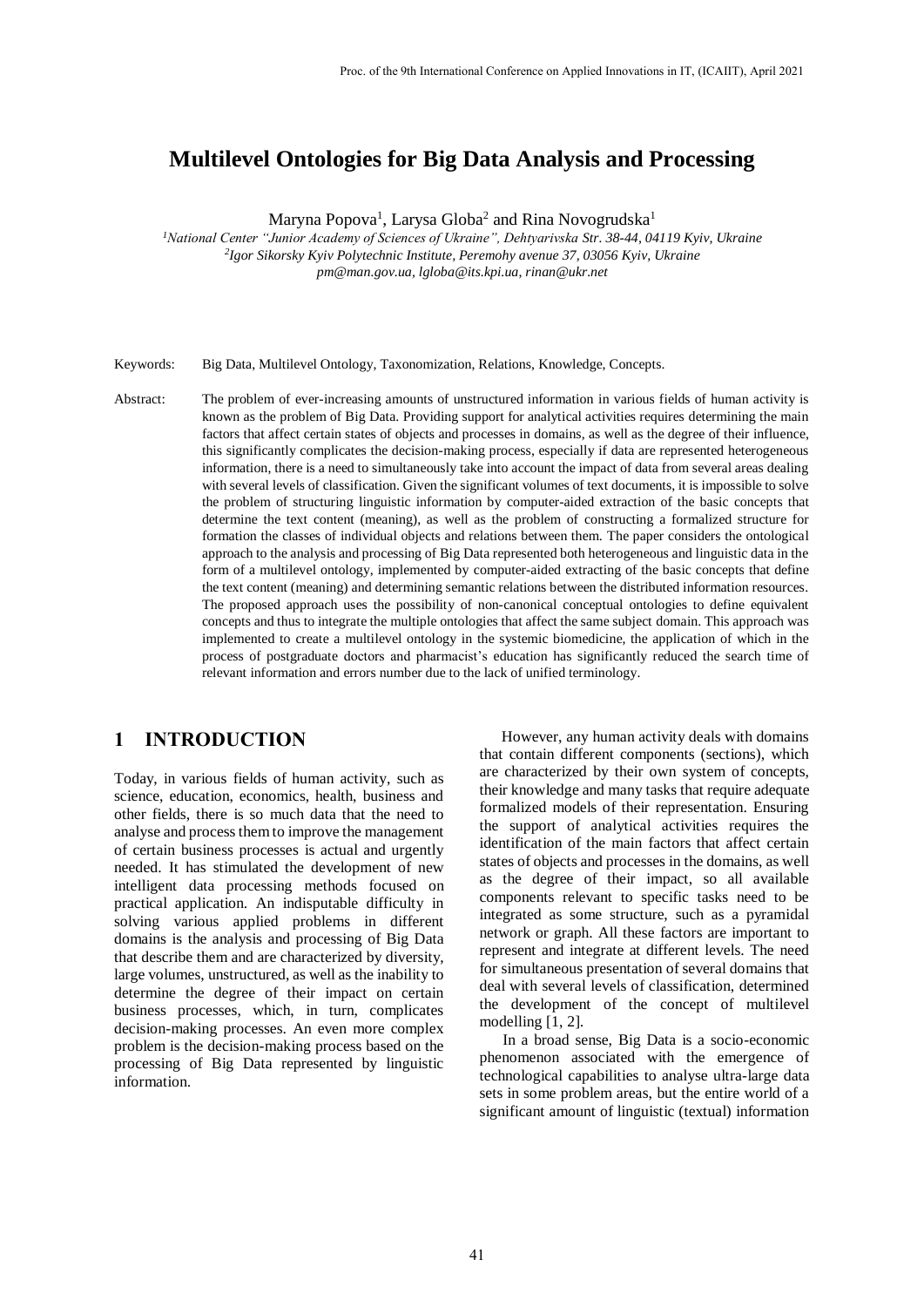# **Multilevel Ontologies for Big Data Analysis and Processing**

Maryna Popova<sup>1</sup>, Larysa Globa<sup>2</sup> and Rina Novogrudska<sup>1</sup>

*<sup>1</sup>National Center "Junior Academy of Sciences of Ukraine", Dehtyarivska Str. 38-44, 04119 Kyiv, Ukraine 2 Igor Sikorsky Kyiv Polytechnic Institute, Peremohy avenue 37, 03056 Kyiv, Ukraine pm@man.gov.ua, lgloba@its.kpi.ua, rinan@ukr.net*

Keywords: Big Data, Multilevel Ontology, Taxonomization, Relations, Knowledge, Concepts.

Abstract: The problem of ever-increasing amounts of unstructured information in various fields of human activity is known as the problem of Big Data. Providing support for analytical activities requires determining the main factors that affect certain states of objects and processes in domains, as well as the degree of their influence, this significantly complicates the decision-making process, especially if data are represented heterogeneous information, there is a need to simultaneously take into account the impact of data from several areas dealing with several levels of classification. Given the significant volumes of text documents, it is impossible to solve the problem of structuring linguistic information by computer-aided extraction of the basic concepts that determine the text content (meaning), as well as the problem of constructing a formalized structure for formation the classes of individual objects and relations between them. The paper considers the ontological approach to the analysis and processing of Big Data represented both heterogeneous and linguistic data in the form of a multilevel ontology, implemented by computer-aided extracting of the basic concepts that define the text content (meaning) and determining semantic relations between the distributed information resources. The proposed approach uses the possibility of non-canonical conceptual ontologies to define equivalent concepts and thus to integrate the multiple ontologies that affect the same subject domain. This approach was implemented to create a multilevel ontology in the systemic biomedicine, the application of which in the process of postgraduate doctors and pharmacist's education has significantly reduced the search time of relevant information and errors number due to the lack of unified terminology.

## **1 INTRODUCTION**

Today, in various fields of human activity, such as science, education, economics, health, business and other fields, there is so much data that the need to analyse and process them to improve the management of certain business processes is actual and urgently needed. It has stimulated the development of new intelligent data processing methods focused on practical application. An indisputable difficulty in solving various applied problems in different domains is the analysis and processing of Big Data that describe them and are characterized by diversity, large volumes, unstructured, as well as the inability to determine the degree of their impact on certain business processes, which, in turn, complicates decision-making processes. An even more complex problem is the decision-making process based on the processing of Big Data represented by linguistic information.

However, any human activity deals with domains that contain different components (sections), which are characterized by their own system of concepts, their knowledge and many tasks that require adequate formalized models of their representation. Ensuring the support of analytical activities requires the identification of the main factors that affect certain states of objects and processes in the domains, as well as the degree of their impact, so all available components relevant to specific tasks need to be integrated as some structure, such as a pyramidal network or graph. All these factors are important to represent and integrate at different levels. The need for simultaneous presentation of several domains that deal with several levels of classification, determined the development of the concept of multilevel modelling [1, 2].

In a broad sense, Big Data is a socio-economic phenomenon associated with the emergence of technological capabilities to analyse ultra-large data sets in some problem areas, but the entire world of a significant amount of linguistic (textual) information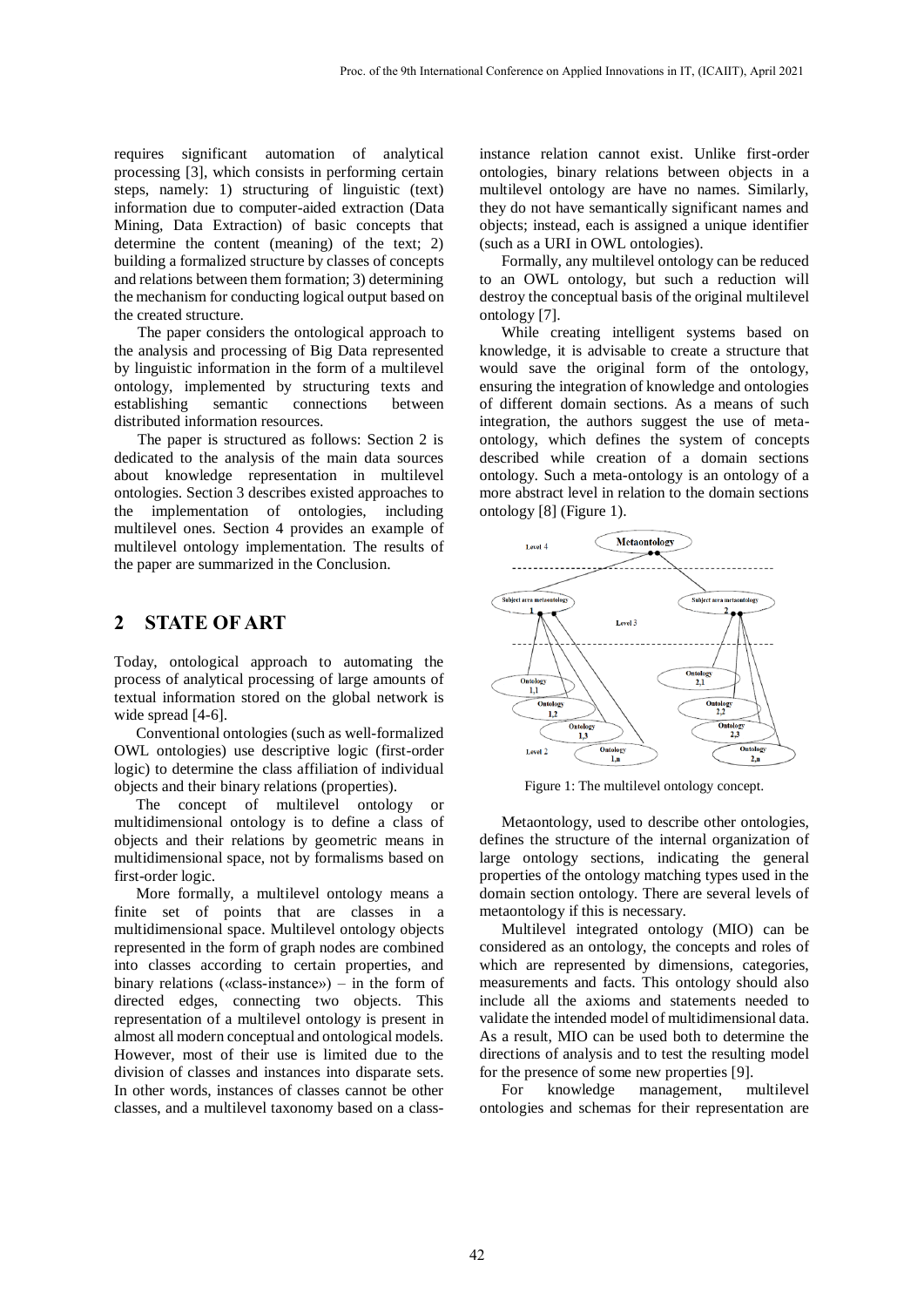requires significant automation of analytical processing [3], which consists in performing certain steps, namely: 1) structuring of linguistic (text) information due to computer-aided extraction (Data Mining, Data Extraction) of basic concepts that determine the content (meaning) of the text; 2) building a formalized structure by classes of concepts and relations between them formation; 3) determining the mechanism for conducting logical output based on the created structure.

The paper considers the ontological approach to the analysis and processing of Big Data represented by linguistic information in the form of a multilevel ontology, implemented by structuring texts and establishing semantic connections between distributed information resources.

The paper is structured as follows: Section 2 is dedicated to the analysis of the main data sources about knowledge representation in multilevel ontologies. Section 3 describes existed approaches to the implementation of ontologies, including multilevel ones. Section 4 provides an example of multilevel ontology implementation. The results of the paper are summarized in the Conclusion.

### **2 STATE OF ART**

Today, ontological approach to automating the process of analytical processing of large amounts of textual information stored on the global network is wide spread [4-6].

Conventional ontologies (such as well-formalized OWL ontologies) use descriptive logic (first-order logic) to determine the class affiliation of individual objects and their binary relations (properties).

The concept of multilevel ontology or multidimensional ontology is to define a class of objects and their relations by geometric means in multidimensional space, not by formalisms based on first-order logic.

More formally, a multilevel ontology means a finite set of points that are classes in a multidimensional space. Multilevel ontology objects represented in the form of graph nodes are combined into classes according to certain properties, and binary relations («class-instance») – in the form of directed edges, connecting two objects. This representation of a multilevel ontology is present in almost all modern conceptual and ontological models. However, most of their use is limited due to the division of classes and instances into disparate sets. In other words, instances of classes cannot be other classes, and a multilevel taxonomy based on a class-

instance relation cannot exist. Unlike first-order ontologies, binary relations between objects in a multilevel ontology are have no names. Similarly, they do not have semantically significant names and objects; instead, each is assigned a unique identifier (such as a URI in OWL ontologies).

Formally, any multilevel ontology can be reduced to an OWL ontology, but such a reduction will destroy the conceptual basis of the original multilevel ontology [7].

While creating intelligent systems based on knowledge, it is advisable to create a structure that would save the original form of the ontology, ensuring the integration of knowledge and ontologies of different domain sections. As a means of such integration, the authors suggest the use of metaontology, which defines the system of concepts described while creation of a domain sections ontology. Such a meta-ontology is an ontology of a more abstract level in relation to the domain sections ontology [8] (Figure 1).



Figure 1: The multilevel ontology concept.

Metaontology, used to describe other ontologies, defines the structure of the internal organization of large ontology sections, indicating the general properties of the ontology matching types used in the domain section ontology. There are several levels of metaontology if this is necessary.

Multilevel integrated ontology (MIO) can be considered as an ontology, the concepts and roles of which are represented by dimensions, categories, measurements and facts. This ontology should also include all the axioms and statements needed to validate the intended model of multidimensional data. As a result, MIO can be used both to determine the directions of analysis and to test the resulting model for the presence of some new properties [9].

For knowledge management, multilevel ontologies and schemas for their representation are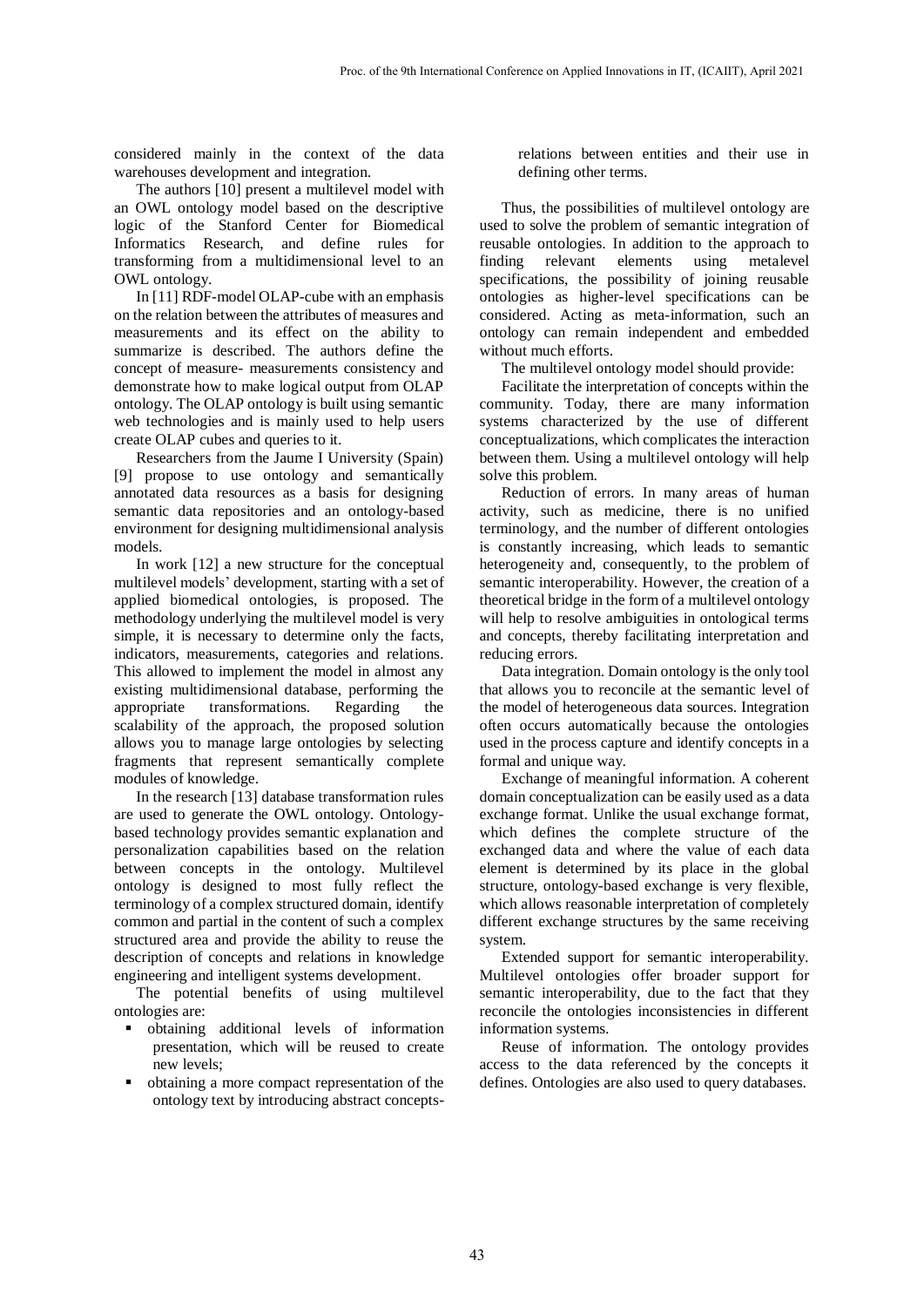considered mainly in the context of the data warehouses development and integration.

The authors [10] present a multilevel model with an OWL ontology model based on the descriptive logic of the Stanford Center for Biomedical Informatics Research, and define rules for transforming from a multidimensional level to an OWL ontology.

In [11] RDF-model OLAP-cube with an emphasis on the relation between the attributes of measures and measurements and its effect on the ability to summarize is described. The authors define the concept of measure- measurements consistency and demonstrate how to make logical output from OLAP ontology. The OLAP ontology is built using semantic web technologies and is mainly used to help users create OLAP cubes and queries to it.

Researchers from the Jaume I University (Spain) [9] propose to use ontology and semantically annotated data resources as a basis for designing semantic data repositories and an ontology-based environment for designing multidimensional analysis models.

In work [12] a new structure for the conceptual multilevel models' development, starting with a set of applied biomedical ontologies, is proposed. The methodology underlying the multilevel model is very simple, it is necessary to determine only the facts, indicators, measurements, categories and relations. This allowed to implement the model in almost any existing multidimensional database, performing the appropriate transformations. Regarding the scalability of the approach, the proposed solution allows you to manage large ontologies by selecting fragments that represent semantically complete modules of knowledge.

In the research [13] database transformation rules are used to generate the OWL ontology. Ontologybased technology provides semantic explanation and personalization capabilities based on the relation between concepts in the ontology. Multilevel ontology is designed to most fully reflect the terminology of a complex structured domain, identify common and partial in the content of such a complex structured area and provide the ability to reuse the description of concepts and relations in knowledge engineering and intelligent systems development.

The potential benefits of using multilevel ontologies are:

- obtaining additional levels of information presentation, which will be reused to create new levels;
- obtaining a more compact representation of the ontology text by introducing abstract concepts-

relations between entities and their use in defining other terms.

Thus, the possibilities of multilevel ontology are used to solve the problem of semantic integration of reusable ontologies. In addition to the approach to finding relevant elements using metalevel specifications, the possibility of joining reusable ontologies as higher-level specifications can be considered. Acting as meta-information, such an ontology can remain independent and embedded without much efforts.

The multilevel ontology model should provide:

Facilitate the interpretation of concepts within the community. Today, there are many information systems characterized by the use of different conceptualizations, which complicates the interaction between them. Using a multilevel ontology will help solve this problem.

Reduction of errors. In many areas of human activity, such as medicine, there is no unified terminology, and the number of different ontologies is constantly increasing, which leads to semantic heterogeneity and, consequently, to the problem of semantic interoperability. However, the creation of a theoretical bridge in the form of a multilevel ontology will help to resolve ambiguities in ontological terms and concepts, thereby facilitating interpretation and reducing errors.

Data integration. Domain ontology is the only tool that allows you to reconcile at the semantic level of the model of heterogeneous data sources. Integration often occurs automatically because the ontologies used in the process capture and identify concepts in a formal and unique way.

Exchange of meaningful information. A coherent domain conceptualization can be easily used as a data exchange format. Unlike the usual exchange format, which defines the complete structure of the exchanged data and where the value of each data element is determined by its place in the global structure, ontology-based exchange is very flexible, which allows reasonable interpretation of completely different exchange structures by the same receiving system.

Extended support for semantic interoperability. Multilevel ontologies offer broader support for semantic interoperability, due to the fact that they reconcile the ontologies inconsistencies in different information systems.

Reuse of information. The ontology provides access to the data referenced by the concepts it defines. Ontologies are also used to query databases.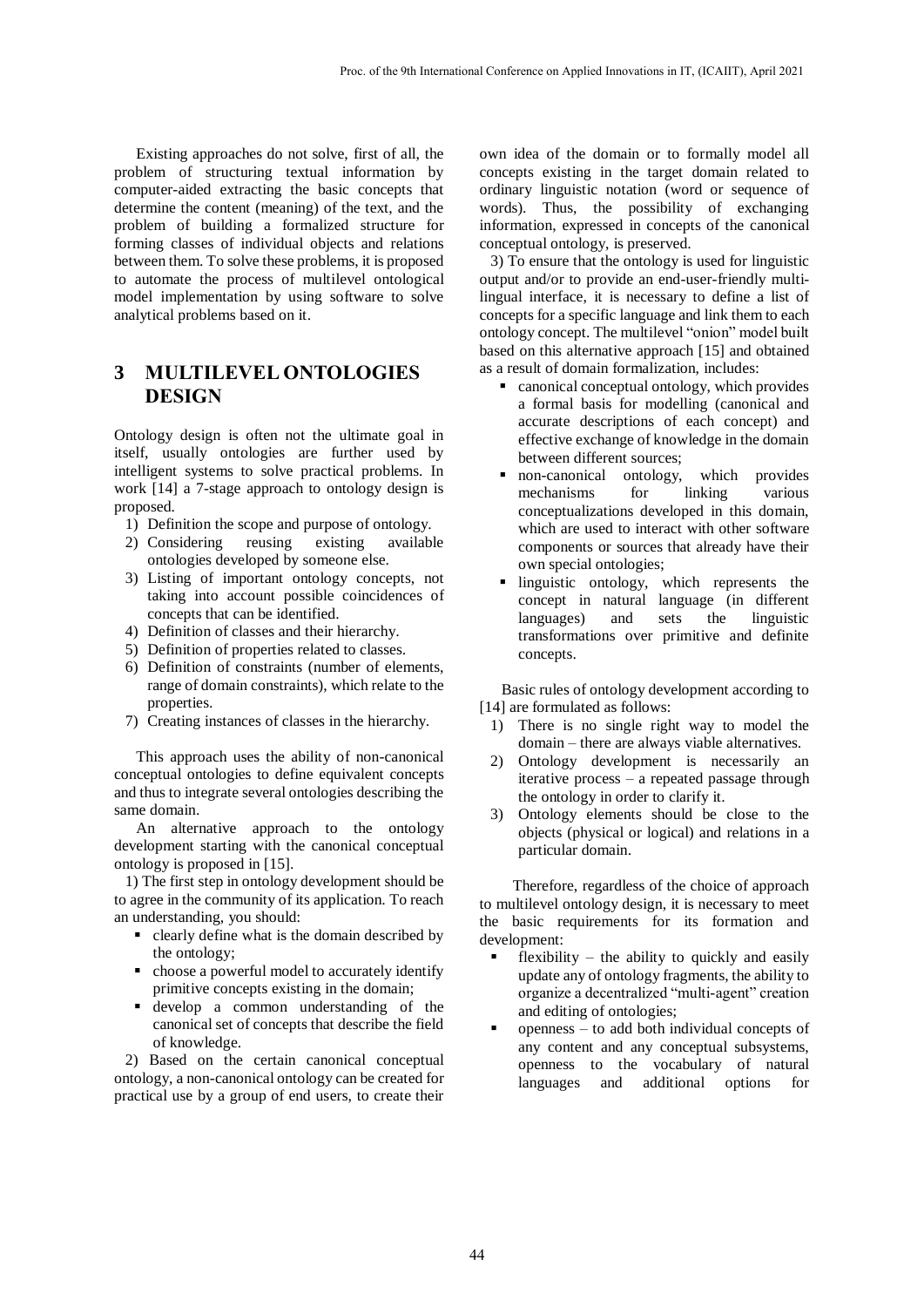Existing approaches do not solve, first of all, the problem of structuring textual information by computer-aided extracting the basic concepts that determine the content (meaning) of the text, and the problem of building a formalized structure for forming classes of individual objects and relations between them. To solve these problems, it is proposed to automate the process of multilevel ontological model implementation by using software to solve analytical problems based on it.

## **3 MULTILEVEL ONTOLOGIES DESIGN**

Ontology design is often not the ultimate goal in itself, usually ontologies are further used by intelligent systems to solve practical problems. In work [14] a 7-stage approach to ontology design is proposed.

- 1) Definition the scope and purpose of ontology.
- 2) Considering reusing existing available ontologies developed by someone else.
- 3) Listing of important ontology concepts, not taking into account possible coincidences of concepts that can be identified.
- 4) Definition of classes and their hierarchy.
- 5) Definition of properties related to classes.
- 6) Definition of constraints (number of elements, range of domain constraints), which relate to the properties.
- 7) Creating instances of classes in the hierarchy.

This approach uses the ability of non-canonical conceptual ontologies to define equivalent concepts and thus to integrate several ontologies describing the same domain.

An alternative approach to the ontology development starting with the canonical conceptual ontology is proposed in [15].

1) The first step in ontology development should be to agree in the community of its application. To reach an understanding, you should:

- clearly define what is the domain described by the ontology;
- choose a powerful model to accurately identify primitive concepts existing in the domain;
- develop a common understanding of the canonical set of concepts that describe the field of knowledge.

2) Based on the certain canonical conceptual ontology, a non-canonical ontology can be created for practical use by a group of end users, to create their

own idea of the domain or to formally model all concepts existing in the target domain related to ordinary linguistic notation (word or sequence of words). Thus, the possibility of exchanging information, expressed in concepts of the canonical conceptual ontology, is preserved.

3) To ensure that the ontology is used for linguistic output and/or to provide an end-user-friendly multilingual interface, it is necessary to define a list of concepts for a specific language and link them to each ontology concept. The multilevel "onion" model built based on this alternative approach [15] and obtained as a result of domain formalization, includes:

- canonical conceptual ontology, which provides a formal basis for modelling (canonical and accurate descriptions of each concept) and effective exchange of knowledge in the domain between different sources;
- non-canonical ontology, which provides mechanisms for linking various conceptualizations developed in this domain, which are used to interact with other software components or sources that already have their own special ontologies;
- **Inquistic ontology, which represents the** concept in natural language (in different languages) and sets the linguistic transformations over primitive and definite concepts.

Basic rules of ontology development according to [14] are formulated as follows:

- 1) There is no single right way to model the domain – there are always viable alternatives.
- 2) Ontology development is necessarily an iterative process – a repeated passage through the ontology in order to clarify it.
- 3) Ontology elements should be close to the objects (physical or logical) and relations in a particular domain.

Therefore, regardless of the choice of approach to multilevel ontology design, it is necessary to meet the basic requirements for its formation and development:

- flexibility the ability to quickly and easily update any of ontology fragments, the ability to organize a decentralized "multi-agent" creation and editing of ontologies;
- openness to add both individual concepts of any content and any conceptual subsystems, openness to the vocabulary of natural languages and additional options for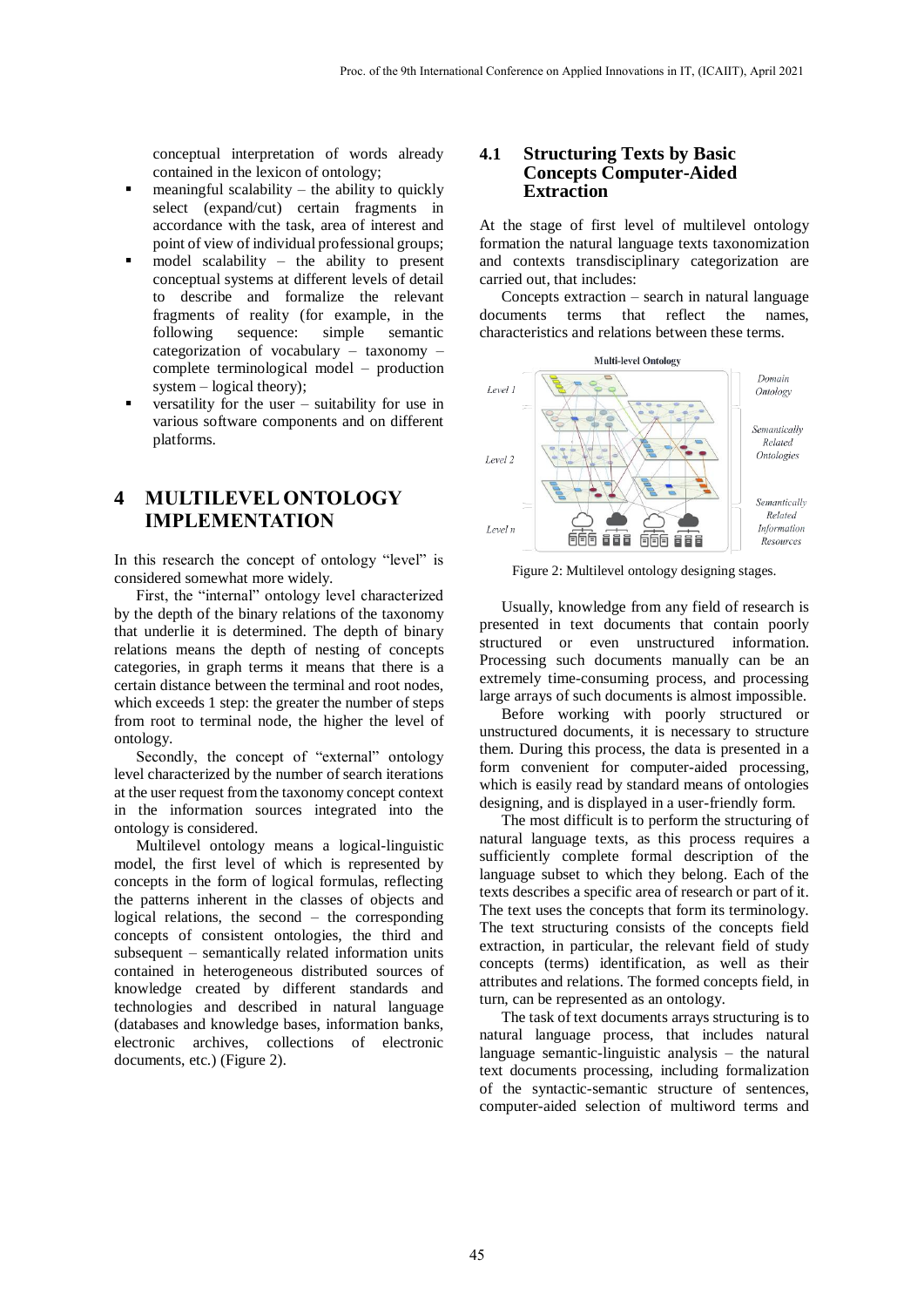conceptual interpretation of words already contained in the lexicon of ontology;

- meaningful scalability the ability to quickly select (expand/cut) certain fragments in accordance with the task, area of interest and point of view of individual professional groups;
- model scalability the ability to present conceptual systems at different levels of detail to describe and formalize the relevant fragments of reality (for example, in the following sequence: simple semantic categorization of vocabulary – taxonomy – complete terminological model – production system – logical theory);
- versatility for the user suitability for use in various software components and on different platforms.

## **4 MULTILEVEL ONTOLOGY IMPLEMENTATION**

In this research the concept of ontology "level" is considered somewhat more widely.

First, the "internal" ontology level characterized by the depth of the binary relations of the taxonomy that underlie it is determined. The depth of binary relations means the depth of nesting of concepts categories, in graph terms it means that there is a certain distance between the terminal and root nodes, which exceeds 1 step: the greater the number of steps from root to terminal node, the higher the level of ontology.

Secondly, the concept of "external" ontology level characterized by the number of search iterations at the user request from the taxonomy concept context in the information sources integrated into the ontology is considered.

Multilevel ontology means a logical-linguistic model, the first level of which is represented by concepts in the form of logical formulas, reflecting the patterns inherent in the classes of objects and logical relations, the second – the corresponding concepts of consistent ontologies, the third and subsequent – semantically related information units contained in heterogeneous distributed sources of knowledge created by different standards and technologies and described in natural language (databases and knowledge bases, information banks, electronic archives, collections of electronic documents, etc.) (Figure 2).

#### **4.1 Structuring Texts by Basic Concepts Computer-Aided Extraction**

At the stage of first level of multilevel ontology formation the natural language texts taxonomization and contexts transdisciplinary categorization are carried out, that includes:

Concepts extraction – search in natural language documents terms that reflect the names, characteristics and relations between these terms.



Figure 2: Multilevel ontology designing stages.

Usually, knowledge from any field of research is presented in text documents that contain poorly structured or even unstructured information. Processing such documents manually can be an extremely time-consuming process, and processing large arrays of such documents is almost impossible.

Before working with poorly structured or unstructured documents, it is necessary to structure them. During this process, the data is presented in a form convenient for computer-aided processing, which is easily read by standard means of ontologies designing, and is displayed in a user-friendly form.

The most difficult is to perform the structuring of natural language texts, as this process requires a sufficiently complete formal description of the language subset to which they belong. Each of the texts describes a specific area of research or part of it. The text uses the concepts that form its terminology. The text structuring consists of the concepts field extraction, in particular, the relevant field of study concepts (terms) identification, as well as their attributes and relations. The formed concepts field, in turn, can be represented as an ontology.

The task of text documents arrays structuring is to natural language process, that includes natural language semantic-linguistic analysis – the natural text documents processing, including formalization of the syntactic-semantic structure of sentences, computer-aided selection of multiword terms and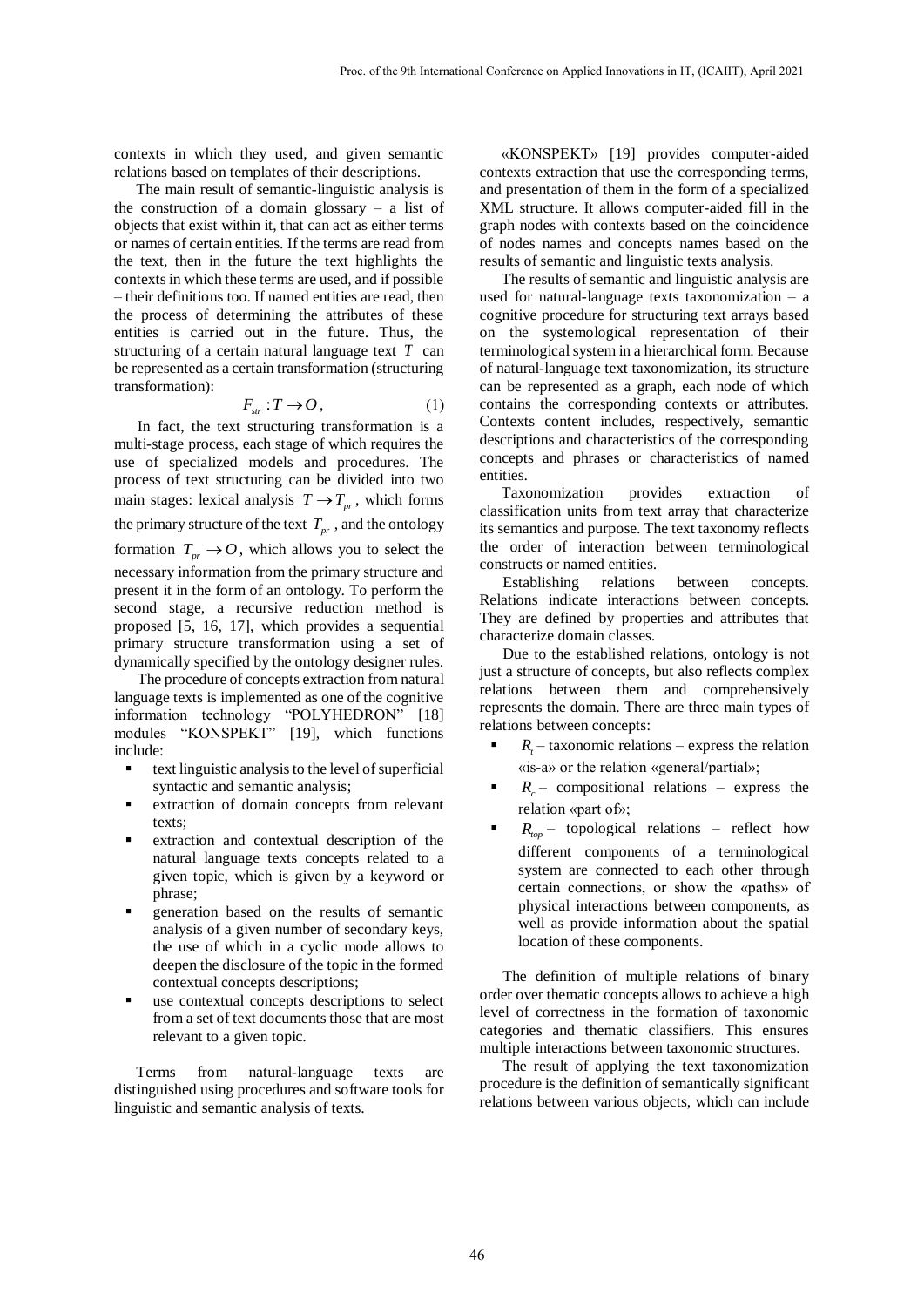contexts in which they used, and given semantic relations based on templates of their descriptions.

The main result of semantic-linguistic analysis is the construction of a domain glossary  $-$  a list of objects that exist within it, that can act as either terms or names of certain entities. If the terms are read from the text, then in the future the text highlights the contexts in which these terms are used, and if possible – their definitions too. If named entities are read, then the process of determining the attributes of these entities is carried out in the future. Thus, the structuring of a certain natural language text *T* can be represented as a certain transformation (structuring transformation):

$$
F_{str}: T \to O, \tag{1}
$$

In fact, the text structuring transformation is a multi-stage process, each stage of which requires the use of specialized models and procedures. The process of text structuring can be divided into two main stages: lexical analysis  $T \rightarrow T_{pr}$ , which forms the primary structure of the text  $T_{pr}$ , and the ontology formation  $T_{pr} \rightarrow O$ , which allows you to select the necessary information from the primary structure and present it in the form of an ontology. To perform the second stage, a recursive reduction method is proposed [5, 16, 17], which provides a sequential primary structure transformation using a set of dynamically specified by the ontology designer rules.

The procedure of concepts extraction from natural language texts is implemented as one of the cognitive information technology "POLYHEDRON" [18] modules "KONSPEKT" [19], which functions include:

- text linguistic analysis to the level of superficial syntactic and semantic analysis;
- extraction of domain concepts from relevant texts;
- extraction and contextual description of the natural language texts concepts related to a given topic, which is given by a keyword or phrase;
- generation based on the results of semantic analysis of a given number of secondary keys, the use of which in a cyclic mode allows to deepen the disclosure of the topic in the formed contextual concepts descriptions;
- use contextual concepts descriptions to select from a set of text documents those that are most relevant to a given topic.

Terms from natural-language texts are distinguished using procedures and software tools for linguistic and semantic analysis of texts.

«KONSPEKT» [19] provides computer-aided contexts extraction that use the corresponding terms, and presentation of them in the form of a specialized XML structure. It allows computer-aided fill in the graph nodes with contexts based on the coincidence of nodes names and concepts names based on the results of semantic and linguistic texts analysis.

The results of semantic and linguistic analysis are used for natural-language texts taxonomization – a cognitive procedure for structuring text arrays based on the systemological representation of their terminological system in a hierarchical form. Because of natural-language text taxonomization, its structure can be represented as a graph, each node of which contains the corresponding contexts or attributes. Contexts content includes, respectively, semantic descriptions and characteristics of the corresponding concepts and phrases or characteristics of named entities.

Taxonomization provides extraction of classification units from text array that characterize its semantics and purpose. The text taxonomy reflects the order of interaction between terminological constructs or named entities.

Establishing relations between concepts. Relations indicate interactions between concepts. They are defined by properties and attributes that characterize domain classes.

Due to the established relations, ontology is not just a structure of concepts, but also reflects complex relations between them and comprehensively represents the domain. There are three main types of relations between concepts:

- $R_t$  taxonomic relations express the relation «is-a» or the relation «general/partial»;
- $\blacksquare$   $R_c$  compositional relations express the relation «part of»;
- **•**  $R_{top}$  topological relations reflect how different components of a terminological system are connected to each other through certain connections, or show the «paths» of physical interactions between components, as well as provide information about the spatial location of these components.

The definition of multiple relations of binary order over thematic concepts allows to achieve a high level of correctness in the formation of taxonomic categories and thematic classifiers. This ensures multiple interactions between taxonomic structures.

The result of applying the text taxonomization procedure is the definition of semantically significant relations between various objects, which can include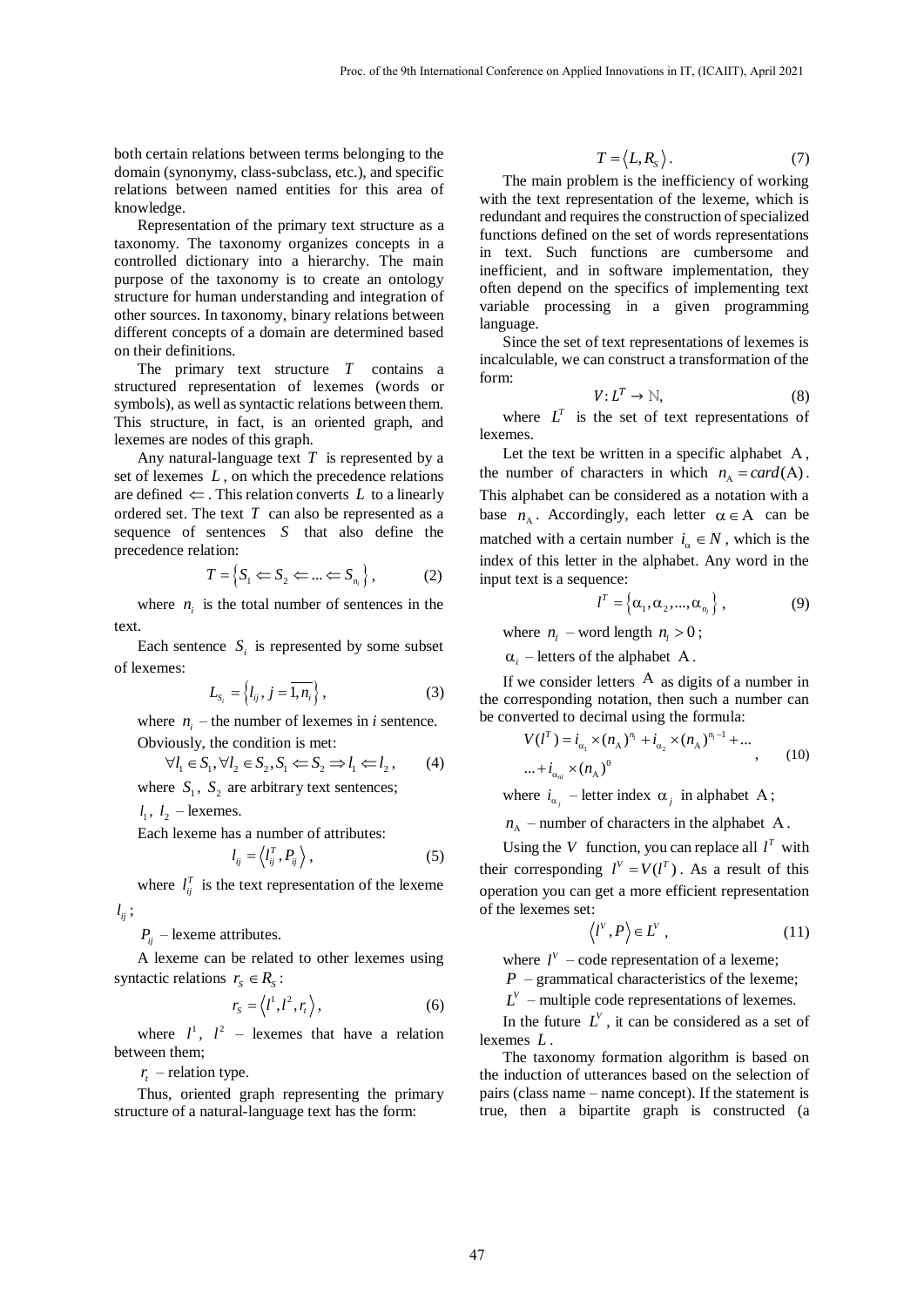both certain relations between terms belonging to the domain (synonymy, class-subclass, etc.), and specific relations between named entities for this area of knowledge.

Representation of the primary text structure as a taxonomy. The taxonomy organizes concepts in a controlled dictionary into a hierarchy. The main purpose of the taxonomy is to create an ontology structure for human understanding and integration of other sources. In taxonomy, binary relations between different concepts of a domain are determined based on their definitions.

The primary text structure *T* contains a structured representation of lexemes (words or symbols), as well as syntactic relations between them. This structure, in fact, is an oriented graph, and lexemes are nodes of this graph.

Any natural-language text *T* is represented by a set of lexemes *L* , on which the precedence relations are defined  $\Leftarrow$ . This relation converts L to a linearly ordered set. The text *T* can also be represented as a sequence of sentences *S* that also define the precedence relation:

$$
T = \left\{ S_1 \Longleftarrow S_2 \Longleftarrow \ldots \Longleftarrow S_{n_i} \right\},\tag{2}
$$

where  $n_i$  is the total number of sentences in the text.

Each sentence  $S_i$  is represented by some subset of lexemes:

$$
L_{S_i} = \left\{ l_{ij}, j = \overline{1, n_i} \right\},\tag{3}
$$

where  $n_i$  – the number of lexemes in *i* sentence.

Obviously, the condition is met:  
\n
$$
\forall l_1 \in S_1, \forall l_2 \in S_2, S_1 \iff S_2 \implies l_1 \iff l_2,
$$
\n(4)

where  $S_1$ ,  $S_2$  are arbitrary text sentences;

 $l_1$ ,  $l_2$  – lexemes.

Each lexeme has a number of attributes:

$$
l_{ij} = \left\langle l_{ij}^T, P_{ij} \right\rangle, \tag{5}
$$

where  $l_{ij}^T$  is the text representation of the lexeme  $l_{ij}$  ;

 $P_{ij}$  – lexeme attributes.

A lexeme can be related to other lexemes using syntactic relations  $r_s \in R_s$ :

$$
r_{s} = \langle l^{1}, l^{2}, r_{t} \rangle, \qquad (6)
$$

where  $l^1$ ,  $l^2$  – lexemes that have a relation between them;

*t r* – relation type.

Thus, oriented graph representing the primary structure of a natural-language text has the form:

$$
T = \langle L, R_{S} \rangle. \tag{7}
$$

The main problem is the inefficiency of working with the text representation of the lexeme, which is redundant and requires the construction of specialized functions defined on the set of words representations in text. Such functions are cumbersome and inefficient, and in software implementation, they often depend on the specifics of implementing text variable processing in a given programming language.

Since the set of text representations of lexemes is incalculable, we can construct a transformation of the form:

$$
V: L^T \to \mathbb{N},\tag{8}
$$

where  $L^T$  is the set of text representations of lexemes.

Let the text be written in a specific alphabet  $A$ , the number of characters in which  $n_A = card(A)$ . This alphabet can be considered as a notation with a base  $n_A$ . Accordingly, each letter  $\alpha \in A$  can be matched with a certain number  $i_{\alpha} \in N$ , which is the index of this letter in the alphabet. Any word in the input text is a sequence:

$$
l^T = \left\{ \alpha_1, \alpha_2, ..., \alpha_{n_l} \right\},\tag{9}
$$

where  $n_l$  – word length  $n_l > 0$ ;

 $\alpha_i$  – letters of the alphabet A.

If we consider letters  $A$  as digits of a number in the corresponding notation, then such a number can be converted to decimal using the formula:<br> $V(l^T) = i_{\alpha_1} \times (n_A)^{n_I} + i_{\alpha_2} \times (n_A)^{n_I-1} + ...$ 

$$
V(l^T) = i_{\alpha_1} \times (n_A)^{n_I} + i_{\alpha_2} \times (n_A)^{n_I - 1} + \dots
$$
  
 
$$
\dots + i_{\alpha_n} \times (n_A)^0
$$
 (10)

where  $i_{\alpha_j}$  – letter index  $\alpha_j$  in alphabet A;

 $n_A$  – number of characters in the alphabet A.

Using the V function, you can replace all  $l^T$  with their corresponding  $l^V = V(l^T)$ . As a result of this operation you can get a more efficient representation of the lexemes set:

$$
\langle l^V, P \rangle \in L^V , \qquad (11)
$$

where  $l^V$  – code representation of a lexeme;

 $P$  – grammatical characteristics of the lexeme;

 $L^V$  – multiple code representations of lexemes.

In the future  $L^V$ , it can be considered as a set of lexemes *L* .

The taxonomy formation algorithm is based on the induction of utterances based on the selection of pairs (class name – name concept). If the statement is true, then a bipartite graph is constructed (a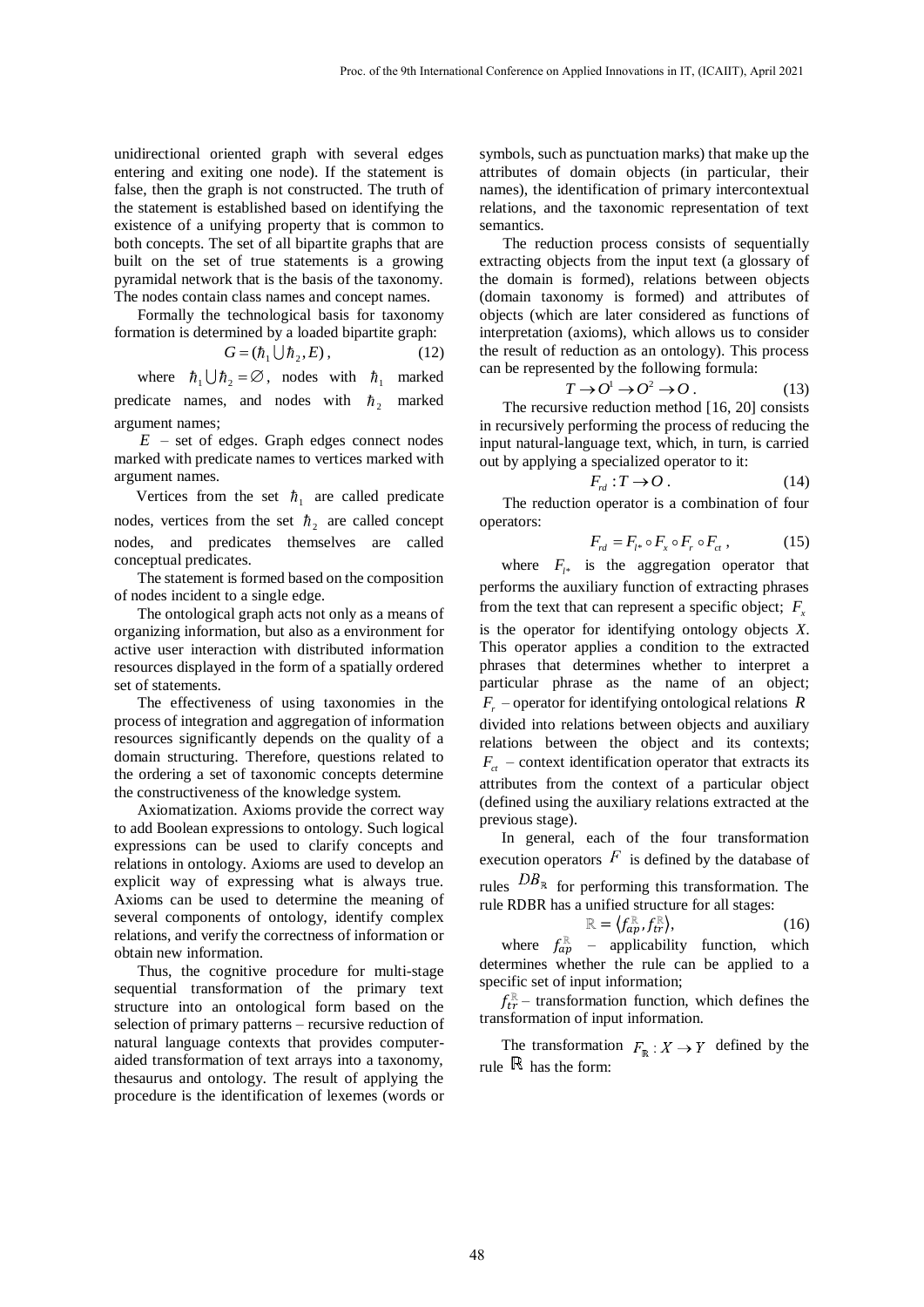unidirectional oriented graph with several edges entering and exiting one node). If the statement is false, then the graph is not constructed. The truth of the statement is established based on identifying the existence of a unifying property that is common to both concepts. The set of all bipartite graphs that are built on the set of true statements is a growing pyramidal network that is the basis of the taxonomy. The nodes contain class names and concept names.

Formally the technological basis for taxonomy formation is determined by a loaded bipartite graph:

$$
G = (\hbar_1 \cup \hbar_2, E), \tag{12}
$$

where  $\hbar_1 \cup \hbar_2 = \emptyset$ , nodes with  $\hbar_1$  marked predicate names, and nodes with  $\hbar_2$  marked argument names;

 $E$  – set of edges. Graph edges connect nodes marked with predicate names to vertices marked with argument names.

Vertices from the set  $\hbar_1$  are called predicate nodes, vertices from the set  $\hbar_2$  are called concept nodes, and predicates themselves are called conceptual predicates.

The statement is formed based on the composition of nodes incident to a single edge.

The ontological graph acts not only as a means of organizing information, but also as a environment for active user interaction with distributed information resources displayed in the form of a spatially ordered set of statements.

The effectiveness of using taxonomies in the process of integration and aggregation of information resources significantly depends on the quality of a domain structuring. Therefore, questions related to the ordering a set of taxonomic concepts determine the constructiveness of the knowledge system.

Axiomatization. Axioms provide the correct way to add Boolean expressions to ontology. Such logical expressions can be used to clarify concepts and relations in ontology. Axioms are used to develop an explicit way of expressing what is always true. Axioms can be used to determine the meaning of several components of ontology, identify complex relations, and verify the correctness of information or obtain new information.

Thus, the cognitive procedure for multi-stage sequential transformation of the primary text structure into an ontological form based on the selection of primary patterns – recursive reduction of natural language contexts that provides computeraided transformation of text arrays into a taxonomy, thesaurus and ontology. The result of applying the procedure is the identification of lexemes (words or

symbols, such as punctuation marks) that make up the attributes of domain objects (in particular, their names), the identification of primary intercontextual relations, and the taxonomic representation of text semantics.

The reduction process consists of sequentially extracting objects from the input text (a glossary of the domain is formed), relations between objects (domain taxonomy is formed) and attributes of objects (which are later considered as functions of interpretation (axioms), which allows us to consider the result of reduction as an ontology). This process can be represented by the following formula:

$$
T \to O^1 \to O^2 \to O. \tag{13}
$$

The recursive reduction method [16, 20] consists in recursively performing the process of reducing the input natural-language text, which, in turn, is carried out by applying a specialized operator to it:

$$
F_{\scriptscriptstyle{rd}}:T\to O\,. \tag{14}
$$

The reduction operator is a combination of four operators:

$$
F_{rd} = F_{l^*} \circ F_x \circ F_r \circ F_{ct} , \qquad (15)
$$

where  $F_{l^*}$  is the aggregation operator that performs the auxiliary function of extracting phrases from the text that can represent a specific object;  $F_x$ is the operator for identifying ontology objects *X*. This operator applies a condition to the extracted phrases that determines whether to interpret a particular phrase as the name of an object; *F r* – operator for identifying ontological relations *R* divided into relations between objects and auxiliary relations between the object and its contexts;  $F_{ct}$  – context identification operator that extracts its attributes from the context of a particular object (defined using the auxiliary relations extracted at the previous stage).

In general, each of the four transformation execution operators  $F$  is defined by the database of rules  $DB_{\mathbb{R}}$  for performing this transformation. The rule RDBR has a unified structure for all stages:

$$
\mathbb{R} = \langle f_{ap}^{\mathbb{R}}, f_{tr}^{\mathbb{R}} \rangle, \tag{16}
$$

where  $f_{ap}^{\mathbb{R}}$  – applicability function, which determines whether the rule can be applied to a specific set of input information;

 $f_{tr}^{\mathbb{R}}$  – transformation function, which defines the transformation of input information.

The transformation  $F_{\mathbb{R}} : X \to Y$  defined by the rule  $\mathbb R$  has the form: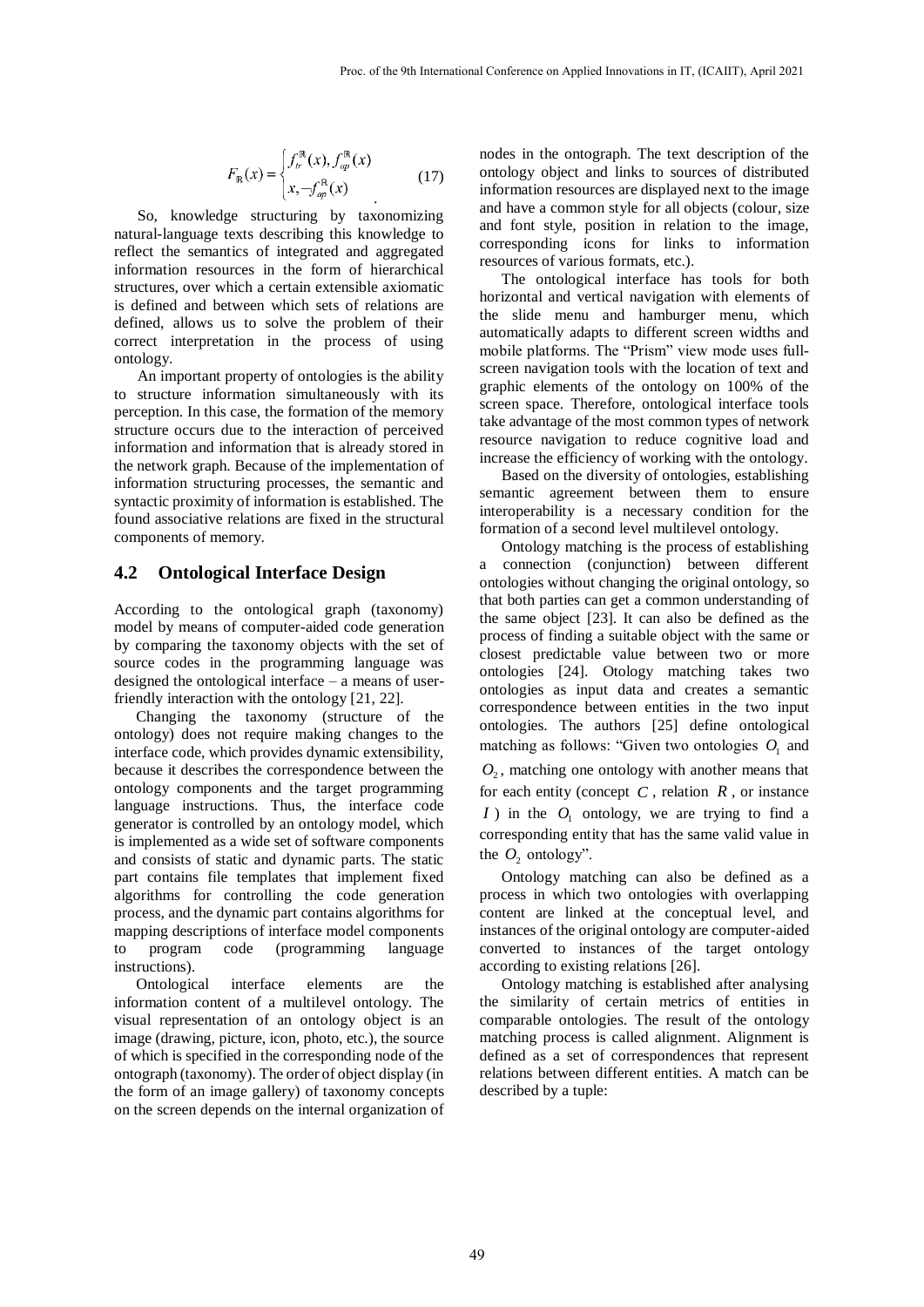$$
F_{\mathbb{R}}(x) = \begin{cases} f_r^{\mathbb{R}}(x), f_{\text{op}}^{\mathbb{R}}(x) \\ x, \neg f_{\text{op}}^{\mathbb{R}}(x) \end{cases}
$$
 (17)

So, knowledge structuring by taxonomizing natural-language texts describing this knowledge to reflect the semantics of integrated and aggregated information resources in the form of hierarchical structures, over which a certain extensible axiomatic is defined and between which sets of relations are defined, allows us to solve the problem of their correct interpretation in the process of using ontology.

An important property of ontologies is the ability to structure information simultaneously with its perception. In this case, the formation of the memory structure occurs due to the interaction of perceived information and information that is already stored in the network graph. Because of the implementation of information structuring processes, the semantic and syntactic proximity of information is established. The found associative relations are fixed in the structural components of memory.

### **4.2 Ontological Interface Design**

According to the ontological graph (taxonomy) model by means of computer-aided code generation by comparing the taxonomy objects with the set of source codes in the programming language was designed the ontological interface – a means of userfriendly interaction with the ontology [21, 22].

Changing the taxonomy (structure of the ontology) does not require making changes to the interface code, which provides dynamic extensibility, because it describes the correspondence between the ontology components and the target programming language instructions. Thus, the interface code generator is controlled by an ontology model, which is implemented as a wide set of software components and consists of static and dynamic parts. The static part contains file templates that implement fixed algorithms for controlling the code generation process, and the dynamic part contains algorithms for mapping descriptions of interface model components to program code (programming language instructions).

Ontological interface elements are the information content of a multilevel ontology. The visual representation of an ontology object is an image (drawing, picture, icon, photo, etc.), the source of which is specified in the corresponding node of the ontograph (taxonomy). The order of object display (in the form of an image gallery) of taxonomy concepts on the screen depends on the internal organization of

nodes in the ontograph. The text description of the ontology object and links to sources of distributed information resources are displayed next to the image and have a common style for all objects (colour, size and font style, position in relation to the image, corresponding icons for links to information resources of various formats, etc.).

The ontological interface has tools for both horizontal and vertical navigation with elements of the slide menu and hamburger menu, which automatically adapts to different screen widths and mobile platforms. The "Prism" view mode uses fullscreen navigation tools with the location of text and graphic elements of the ontology on 100% of the screen space. Therefore, ontological interface tools take advantage of the most common types of network resource navigation to reduce cognitive load and increase the efficiency of working with the ontology.

Based on the diversity of ontologies, establishing semantic agreement between them to ensure interoperability is a necessary condition for the formation of a second level multilevel ontology.

Ontology matching is the process of establishing a connection (conjunction) between different ontologies without changing the original ontology, so that both parties can get a common understanding of the same object [23]. It can also be defined as the process of finding a suitable object with the same or closest predictable value between two or more ontologies [24]. Otology matching takes two ontologies as input data and creates a semantic correspondence between entities in the two input ontologies. The authors [25] define ontological matching as follows: "Given two ontologies  $O<sub>1</sub>$  and  $O_2$ , matching one ontology with another means that for each entity (concept  $C$ , relation  $R$ , or instance *I*) in the  $O_1$  ontology, we are trying to find a corresponding entity that has the same valid value in the  $O_2$  ontology".

Ontology matching can also be defined as a process in which two ontologies with overlapping content are linked at the conceptual level, and instances of the original ontology are computer-aided converted to instances of the target ontology according to existing relations [26].

Ontology matching is established after analysing the similarity of certain metrics of entities in comparable ontologies. The result of the ontology matching process is called alignment. Alignment is defined as a set of correspondences that represent relations between different entities. A match can be described by a tuple: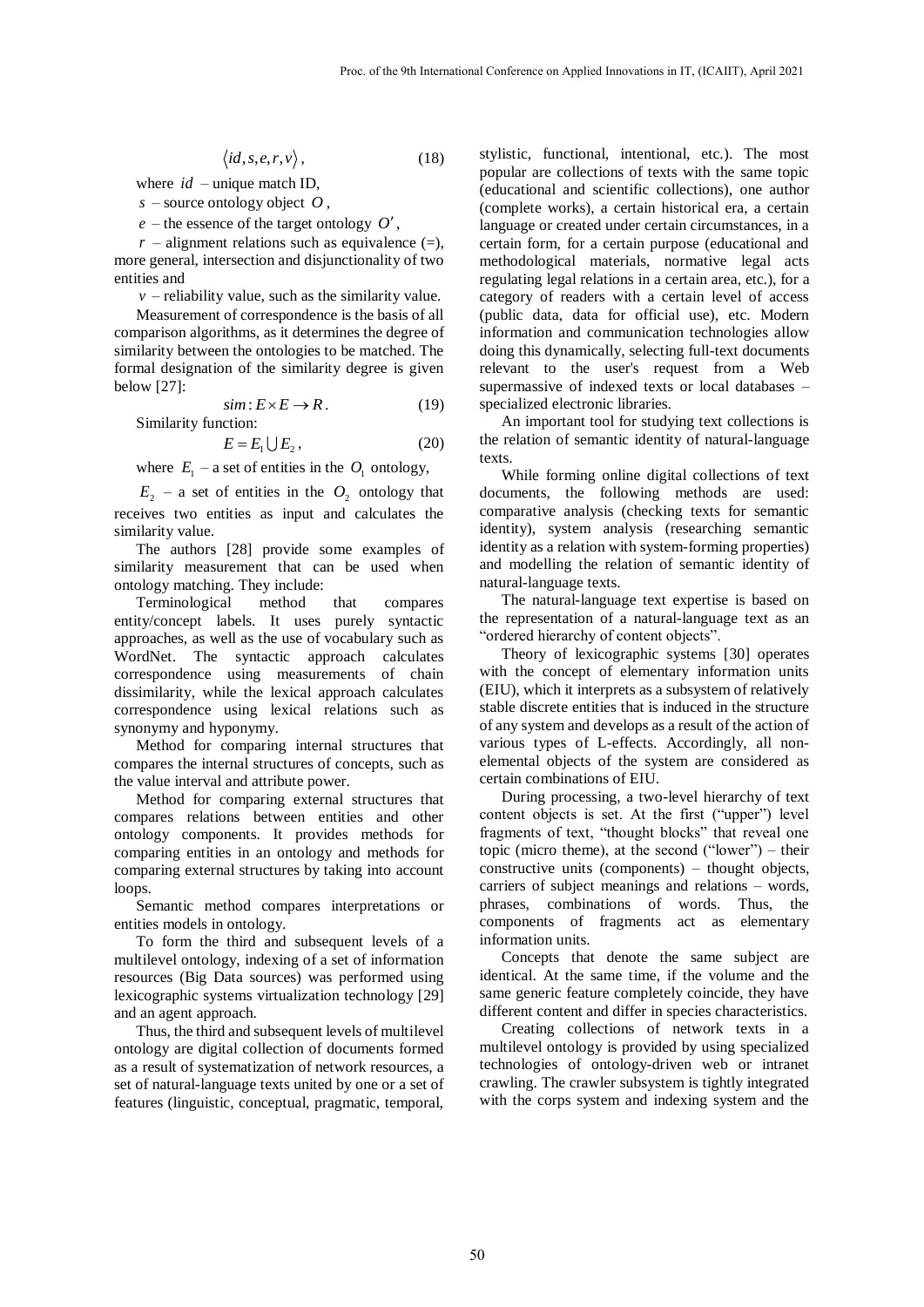$$
\langle id, s, e, r, v \rangle, \qquad (18)
$$

where *id* – unique match ID,

*s* – source ontology object *O* ,

 $e$  – the essence of the target ontology  $O'$ ,

 $r$  – alignment relations such as equivalence  $(=)$ , more general, intersection and disjunctionality of two entities and

 $v$  – reliability value, such as the similarity value.

Measurement of correspondence is the basis of all comparison algorithms, as it determines the degree of similarity between the ontologies to be matched. The formal designation of the similarity degree is given below [27]:

$$
sim: E \times E \to R. \tag{19}
$$

Similarity function:

$$
E = E_1 \cup E_2, \tag{20}
$$

where  $E_1$  – a set of entities in the  $O_1$  ontology,

 $E_2$  – a set of entities in the  $O_2$  ontology that receives two entities as input and calculates the similarity value.

The authors [28] provide some examples of similarity measurement that can be used when ontology matching. They include:

Terminological method that compares entity/concept labels. It uses purely syntactic approaches, as well as the use of vocabulary such as WordNet. The syntactic approach calculates correspondence using measurements of chain dissimilarity, while the lexical approach calculates correspondence using lexical relations such as synonymy and hyponymy.

Method for comparing internal structures that compares the internal structures of concepts, such as the value interval and attribute power.

Method for comparing external structures that compares relations between entities and other ontology components. It provides methods for comparing entities in an ontology and methods for comparing external structures by taking into account loops.

Semantic method compares interpretations or entities models in ontology.

To form the third and subsequent levels of a multilevel ontology, indexing of a set of information resources (Big Data sources) was performed using lexicographic systems virtualization technology [29] and an agent approach.

Thus, the third and subsequent levels of multilevel ontology are digital collection of documents formed as a result of systematization of network resources, a set of natural-language texts united by one or a set of features (linguistic, conceptual, pragmatic, temporal,

stylistic, functional, intentional, etc.). The most popular are collections of texts with the same topic (educational and scientific collections), one author (complete works), a certain historical era, a certain language or created under certain circumstances, in a certain form, for a certain purpose (educational and methodological materials, normative legal acts regulating legal relations in a certain area, etc.), for a category of readers with a certain level of access (public data, data for official use), etc. Modern information and communication technologies allow doing this dynamically, selecting full-text documents relevant to the user's request from a Web supermassive of indexed texts or local databases – specialized electronic libraries.

An important tool for studying text collections is the relation of semantic identity of natural-language texts.

While forming online digital collections of text documents, the following methods are used: comparative analysis (checking texts for semantic identity), system analysis (researching semantic identity as a relation with system-forming properties) and modelling the relation of semantic identity of natural-language texts.

The natural-language text expertise is based on the representation of a natural-language text as an "ordered hierarchy of content objects".

Theory of lexicographic systems [30] operates with the concept of elementary information units (EIU), which it interprets as a subsystem of relatively stable discrete entities that is induced in the structure of any system and develops as a result of the action of various types of L-effects. Accordingly, all nonelemental objects of the system are considered as certain combinations of EIU.

During processing, a two-level hierarchy of text content objects is set. At the first ("upper") level fragments of text, "thought blocks" that reveal one topic (micro theme), at the second ("lower") – their constructive units (components) – thought objects, carriers of subject meanings and relations – words, phrases, combinations of words. Thus, the components of fragments act as elementary information units.

Concepts that denote the same subject are identical. At the same time, if the volume and the same generic feature completely coincide, they have different content and differ in species characteristics.

Creating collections of network texts in a multilevel ontology is provided by using specialized technologies of ontology-driven web or intranet crawling. The crawler subsystem is tightly integrated with the corps system and indexing system and the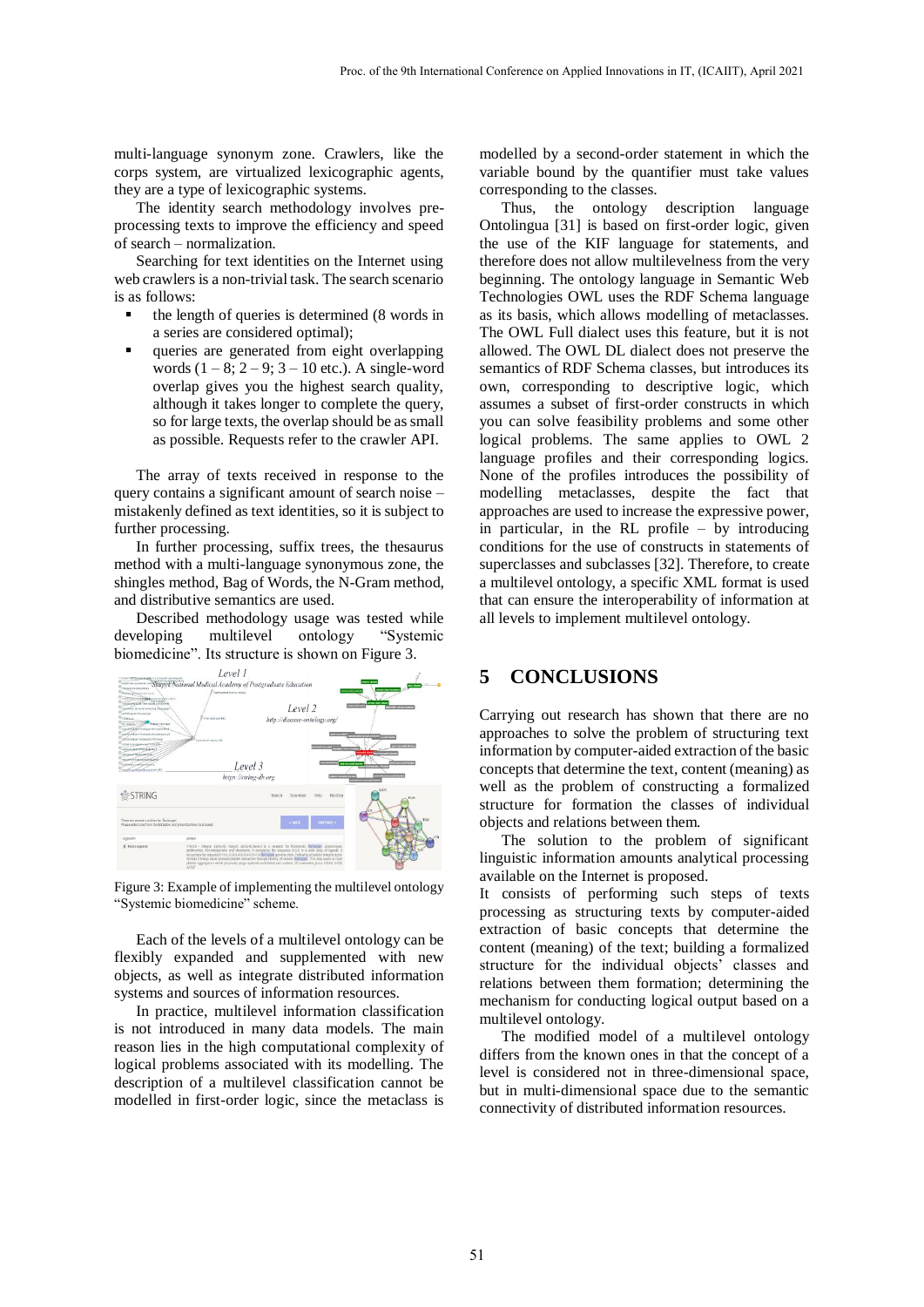multi-language synonym zone. Crawlers, like the corps system, are virtualized lexicographic agents, they are a type of lexicographic systems.

The identity search methodology involves preprocessing texts to improve the efficiency and speed of search – normalization.

Searching for text identities on the Internet using web crawlers is a non-trivial task. The search scenario is as follows:

- the length of queries is determined (8 words in a series are considered optimal);
- queries are generated from eight overlapping words  $(1 - 8; 2 - 9; 3 - 10$  etc.). A single-word overlap gives you the highest search quality, although it takes longer to complete the query, so for large texts, the overlap should be as small as possible. Requests refer to the crawler API.

The array of texts received in response to the query contains a significant amount of search noise – mistakenly defined as text identities, so it is subject to further processing.

In further processing, suffix trees, the thesaurus method with a multi-language synonymous zone, the shingles method, Bag of Words, the N-Gram method, and distributive semantics are used.

Described methodology usage was tested while developing multilevel ontology "Systemic biomedicine". Its structure is shown on Figure 3.



Figure 3: Example of implementing the multilevel ontology "Systemic biomedicine" scheme.

Each of the levels of a multilevel ontology can be flexibly expanded and supplemented with new objects, as well as integrate distributed information systems and sources of information resources.

In practice, multilevel information classification is not introduced in many data models. The main reason lies in the high computational complexity of logical problems associated with its modelling. The description of a multilevel classification cannot be modelled in first-order logic, since the metaclass is

modelled by a second-order statement in which the variable bound by the quantifier must take values corresponding to the classes.

Thus, the ontology description language Ontolingua [31] is based on first-order logic, given the use of the KIF language for statements, and therefore does not allow multilevelness from the very beginning. The ontology language in Semantic Web Technologies OWL uses the RDF Schema language as its basis, which allows modelling of metaclasses. The OWL Full dialect uses this feature, but it is not allowed. The OWL DL dialect does not preserve the semantics of RDF Schema classes, but introduces its own, corresponding to descriptive logic, which assumes a subset of first-order constructs in which you can solve feasibility problems and some other logical problems. The same applies to OWL 2 language profiles and their corresponding logics. None of the profiles introduces the possibility of modelling metaclasses, despite the fact that approaches are used to increase the expressive power, in particular, in the RL profile – by introducing conditions for the use of constructs in statements of superclasses and subclasses [32]. Therefore, to create a multilevel ontology, a specific XML format is used that can ensure the interoperability of information at all levels to implement multilevel ontology.

### **5 CONCLUSIONS**

Carrying out research has shown that there are no approaches to solve the problem of structuring text information by computer-aided extraction of the basic concepts that determine the text, content (meaning) as well as the problem of constructing a formalized structure for formation the classes of individual objects and relations between them.

The solution to the problem of significant linguistic information amounts analytical processing available on the Internet is proposed.

It consists of performing such steps of texts processing as structuring texts by computer-aided extraction of basic concepts that determine the content (meaning) of the text; building a formalized structure for the individual objects' classes and relations between them formation; determining the mechanism for conducting logical output based on a multilevel ontology.

The modified model of a multilevel ontology differs from the known ones in that the concept of a level is considered not in three-dimensional space, but in multi-dimensional space due to the semantic connectivity of distributed information resources.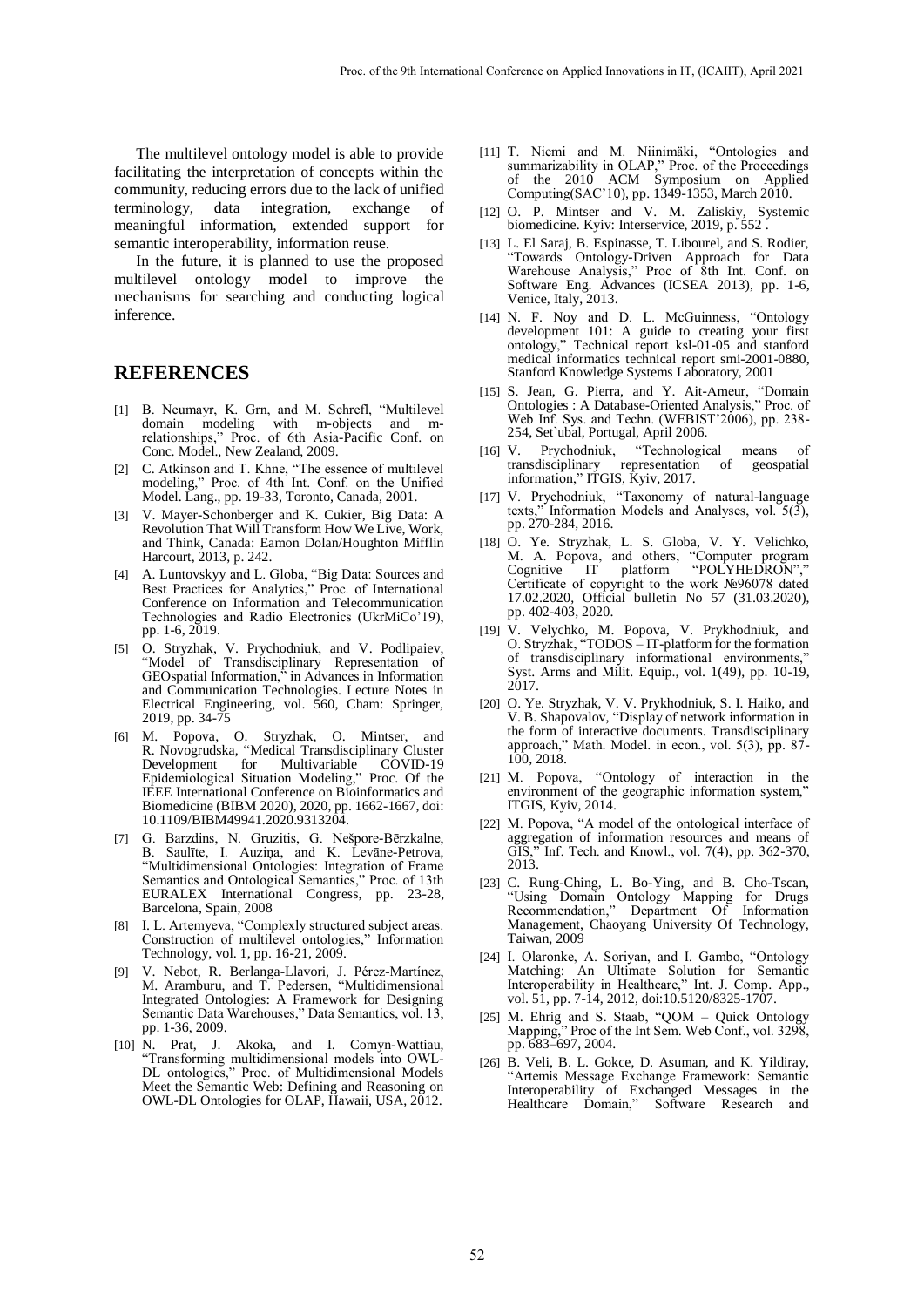The multilevel ontology model is able to provide facilitating the interpretation of concepts within the community, reducing errors due to the lack of unified terminology, data integration, exchange of meaningful information, extended support for semantic interoperability, information reuse.

In the future, it is planned to use the proposed multilevel ontology model to improve the mechanisms for searching and conducting logical inference.

#### **REFERENCES**

- [1] B. Neumayr, K. Grn, and M. Schrefl, "Multilevel domain modeling with m-objects and mrelationships," Proc. of 6th Asia-Pacific Conf. on Conc. Model., New Zealand, 2009.
- [2] C. Atkinson and T. Khne, "The essence of multilevel modeling," Proc. of 4th Int. Conf. on the Unified Model. Lang., pp. 19-33, Toronto, Canada, 2001.
- [3] V. Mayer-Schonberger and K. Cukier, Big Data: A Revolution That Will Transform How We Live, Work, and Think, Canada: Eamon Dolan/Houghton Mifflin Harcourt, 2013, p. 242.
- [4] A. Luntovskyy and L. Globa, "Big Data: Sources and Best Practices for Analytics," Proc. of International Conference on Information and Telecommunication Technologies and Radio Electronics (UkrMiCo'19), pp. 1-6, 2019.
- [5] O. Stryzhak, V. Prychodniuk, and V. Podlipaiev, "Model of Transdisciplinary Representation of GEOspatial Information," in Advances in Information and Communication Technologies. Lecture Notes in Electrical Engineering, vol. 560, Cham: Springer, 2019, pp. 34-75
- [6] M. Popova, O. Stryzhak, O. Mintser, and R. Novogrudska, "Medical Transdisciplinary Cluster Development for Multivariable COVID-19 Development for Multivariable COVID-19<br>Epidemiological Situation Modeling," Proc. Of the IEEE International Conference on Bioinformatics and Biomedicine (BIBM 2020), 2020, pp. 1662-1667, doi: 10.1109/BIBM49941.2020.9313204.
- [7] G. Barzdins, N. Gruzitis, G. Nešpore-Bērzkalne, B. Saulīte, I. Auziņa, and K. Levāne-Petrova, "Multidimensional Ontologies: Integration of Frame Semantics and Ontological Semantics," Proc. of 13th EURALEX International Congress, pp. 23-28, Barcelona, Spain, 2008
- [8] I. L. Artemyeva, "Complexly structured subject areas. Construction of multilevel ontologies," Information Technology, vol. 1, pp. 16-21, 2009.
- [9] V. Nebot, R. Berlanga-Llavori, J. Pérez-Martínez, M. Aramburu, and T. Pedersen, "Multidimensional Integrated Ontologies: A Framework for Designing Semantic Data Warehouses," Data Semantics, vol. 13, pp. 1-36, 2009.
- [10] N. Prat, J. Akoka, and I. Comyn-Wattiau, "Transforming multidimensional models into OWL-DL ontologies," Proc. of Multidimensional Models Meet the Semantic Web: Defining and Reasoning on OWL-DL Ontologies for OLAP, Hawaii, USA, 2012.
- [11] T. Niemi and M. Niinimäki, "Ontologies and summarizability in OLAP," Proc. of the Proceedings of the 2010 ACM Symposium on Applied Computing(SAC'10), pp. 1349-1353, March 2010.
- [12] O. P. Mintser and V. M. Zaliskiy, Systemic biomedicine. Kyiv: Interservice, 2019, p. 552 .
- [13] L. El Saraj, B. Espinasse, T. Libourel, and S. Rodier, "Towards Ontology-Driven Approach for Data Warehouse Analysis," Proc of 8th Int. Conf. on Software Eng. Advances (ICSEA 2013), pp. 1-6, Venice, Italy, 2013.
- [14] N. F. Noy and D. L. McGuinness, "Ontology development 101: A guide to creating your first ontology," Technical report ksl-01-05 and stanford medical informatics technical report smi-2001-0880, Stanford Knowledge Systems Laboratory, 2001
- [15] S. Jean, G. Pierra, and Y. Ait-Ameur, "Domain Ontologies : A Database-Oriented Analysis," Proc. of Web Inf. Sys. and Techn. (WEBIST'2006), pp. 238-254, Set`ubal, Portugal, April 2006.
- [16] V. Prychodniuk, "Technological means of<br>transdisciplinary representation of geospatial transdisciplinary information," ITGIS, Kyiv, 2017.
- [17] V. Prychodniuk, "Taxonomy of natural-language texts," Information Models and Analyses, vol.  $5(3)$ , pp. 270-284, 2016.
- [18] O. Ye. Stryzhak, L. S. Globa, V. Y. Velichko, M. A. Popova, and others, "Computer program Cognitive IT platform "POLYHEDRON"," Cognitive IT platform "POLYHEDRON","<br>Certificate of copyright to the work №96078 dated 17.02.2020, Official bulletin No 57 (31.03.2020), pp. 402-403, 2020.
- [19] V. Velychko, M. Popova, V. Prykhodniuk, and O. Stryzhak, "TODOS – IT-platform for the formation of transdisciplinary informational environments,' Syst. Arms and Milit. Equip., vol. 1(49), pp. 10-19, 2017.
- [20] O. Ye. Stryzhak, V. V. Prykhodniuk, S. I. Haiko, and V. B. Shapovalov, "Display of network information in the form of interactive documents. Transdisciplinary approach," Math. Model. in econ., vol. 5(3), pp. 87- 100, 2018.
- [21] M. Popova, "Ontology of interaction in the environment of the geographic information system,' ITGIS, Kyiv, 2014.
- [22] M. Popova, "A model of the ontological interface of aggregation of information resources and means of GIS," Inf. Tech. and Knowl., vol. 7(4), pp. 362-370, 2013.
- [23] C. Rung-Ching, L. Bo-Ying, and B. Cho-Tscan, "Using Domain Ontology Mapping for Drugs Recommendation," Department Of Information Management, Chaoyang University Of Technology, Taiwan, 2009
- [24] I. Olaronke, A. Soriyan, and I. Gambo, "Ontology Matching: An Ultimate Solution for Semantic Interoperability in Healthcare," Int. J. Comp. App., vol. 51, pp. 7-14, 2012, doi:10.5120/8325-1707.
- [25] M. Ehrig and S. Staab, "QOM Quick Ontology Mapping," Proc of the Int Sem. Web Conf., vol. 3298, pp. 683–697, 2004.
- [26] B. Veli, B. L. Gokce, D. Asuman, and K. Yildiray, "Artemis Message Exchange Framework: Semantic Interoperability of Exchanged Messages in the Healthcare Domain," Software Research and